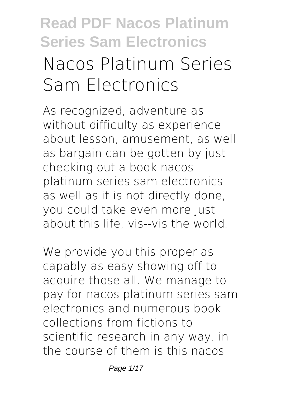# **Read PDF Nacos Platinum Series Sam Electronics Nacos Platinum Series**

# **Sam Electronics**

As recognized, adventure as without difficulty as experience about lesson, amusement, as well as bargain can be gotten by just checking out a book **nacos platinum series sam electronics** as well as it is not directly done, you could take even more just about this life, vis--vis the world.

We provide you this proper as capably as easy showing off to acquire those all. We manage to pay for nacos platinum series sam electronics and numerous book collections from fictions to scientific research in any way. in the course of them is this nacos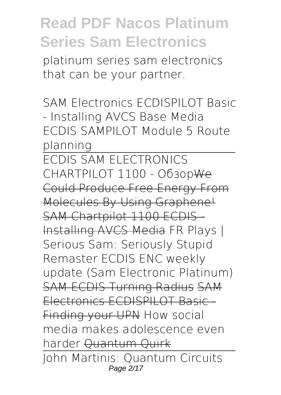platinum series sam electronics that can be your partner.

SAM Electronics ECDISPILOT Basic - Installing AVCS Base Media *ECDIS SAMPILOT Module 5 Route planning*

ECDIS SAM ELECTRONICS CHARTPILOT 1100 - ОбзорWe Could Produce Free Energy From Molecules By Using Graphene! SAM Chartpilot 1100 ECDIS-Installing AVCS Media *FR Plays | Serious Sam: Seriously Stupid Remaster* ECDIS ENC weekly update (Sam Electronic Platinum) SAM ECDIS Turning Radius SAM Electronics ECDISPILOT Basic - Finding your UPN How social media makes adolescence even harder Quantum Quirk John Martinis: Quantum Circuits Page 2/17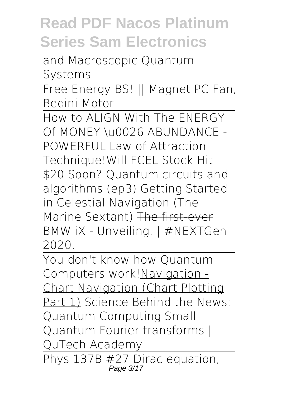and Macroscopic Quantum Systems

Free Energy BS! || Magnet PC Fan, Bedini Motor

How to ALIGN With The ENERGY Of MONEY \u0026 ABUNDANCE - POWERFUL Law of Attraction Technique!*Will FCEL Stock Hit \$20 Soon?* Quantum circuits and algorithms (ep3) Getting Started in Celestial Navigation (The Marine Sextant) The first-ever BMW iX - Unveiling. | #NEXTGen 2020.

You don't know how Quantum Computers work! Navigation -Chart Navigation (Chart Plotting Part 1) *Science Behind the News: Quantum Computing Small Quantum Fourier transforms | QuTech Academy* Phys 137B #27 Dirac equation,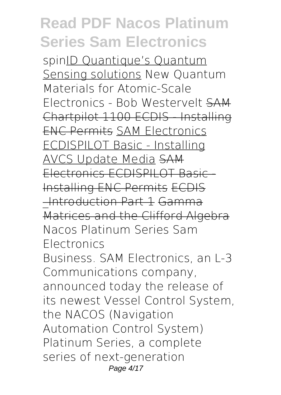spinID Quantique's Quantum Sensing solutions *New Quantum Materials for Atomic-Scale Electronics - Bob Westervelt* SAM Chartpilot 1100 ECDIS - Installing ENC Permits SAM Electronics ECDISPILOT Basic - Installing AVCS Update Media SAM Electronics ECDISPILOT Basic - Installing ENC Permits ECDIS \_Introduction Part 1 Gamma Matrices and the Clifford Algebra **Nacos Platinum Series Sam Electronics** Business. SAM Electronics, an L-3 Communications company, announced today the release of its newest Vessel Control System, the NACOS (Navigation Automation Control System) Platinum Series, a complete series of next-generation Page 4/17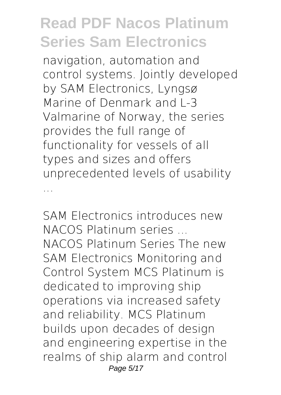navigation, automation and control systems. Jointly developed by SAM Electronics, Lyngsø Marine of Denmark and L-3 Valmarine of Norway, the series provides the full range of functionality for vessels of all types and sizes and offers unprecedented levels of usability ...

**SAM Electronics introduces new NACOS Platinum series ...** NACOS Platinum Series The new SAM Electronics Monitoring and Control System MCS Platinum is dedicated to improving ship operations via increased safety and reliability. MCS Platinum builds upon decades of design and engineering expertise in the realms of ship alarm and control Page 5/17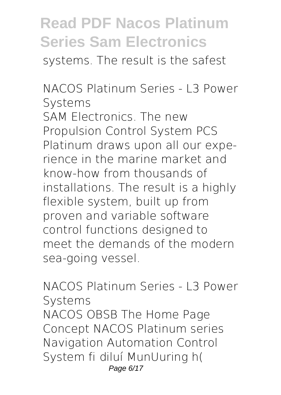systems. The result is the safest

**NACOS Platinum Series - L3 Power Systems** SAM Electronics. The new Propulsion Control System PCS Platinum draws upon all our experience in the marine market and know-how from thousands of installations. The result is a highly flexible system, built up from proven and variable software control functions designed to meet the demands of the modern sea-going vessel.

**NACOS Platinum Series - L3 Power Systems** NACOS OBSB The Home Page Concept NACOS Platinum series Navigation Automation Control System fi diluí MunUuring h( Page 6/17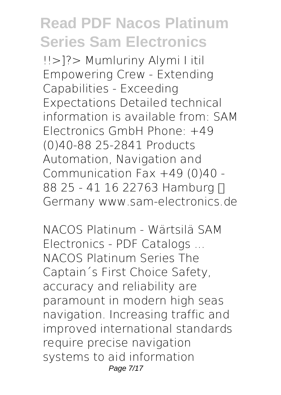!!>]?> Mumluriny Alymi I itil Empowering Crew - Extending Capabilities - Exceeding Expectations Detailed technical information is available from: SAM Electronics GmbH Phone: +49 (0)40-88 25-2841 Products Automation, Navigation and Communication Fax +49 (0)40 - 88 25 - 41 16 22763 Hamburg N Germany www.sam-electronics.de

**NACOS Platinum - Wärtsilä SAM Electronics - PDF Catalogs ...** NACOS Platinum Series The Captain´s First Choice Safety, accuracy and reliability are paramount in modern high seas navigation. Increasing traffic and improved international standards require precise navigation systems to aid information Page 7/17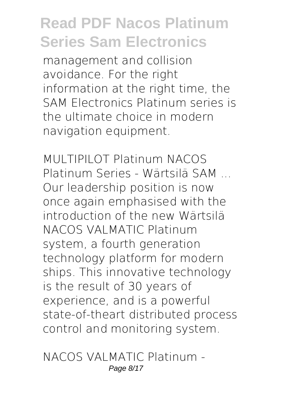management and collision avoidance. For the right information at the right time, the SAM Electronics Platinum series is the ultimate choice in modern navigation equipment.

**MULTIPILOT Platinum NACOS Platinum Series - Wärtsilä SAM ...** Our leadership position is now once again emphasised with the introduction of the new Wärtsilä NACOS VALMATIC Platinum system, a fourth generation technology platform for modern ships. This innovative technology is the result of 30 years of experience, and is a powerful state-of-theart distributed process control and monitoring system.

**NACOS VALMATIC Platinum -** Page 8/17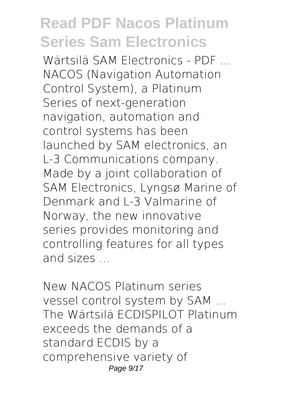**Wärtsilä SAM Electronics - PDF ...** NACOS (Navigation Automation Control System), a Platinum Series of next-generation navigation, automation and control systems has been launched by SAM electronics, an L-3 Communications company. Made by a joint collaboration of SAM Electronics, Lyngsø Marine of Denmark and L-3 Valmarine of Norway, the new innovative series provides monitoring and controlling features for all types and sizes ...

**New NACOS Platinum series vessel control system by SAM ...** The Wärtsilä ECDISPILOT Platinum exceeds the demands of a standard ECDIS by a comprehensive variety of Page 9/17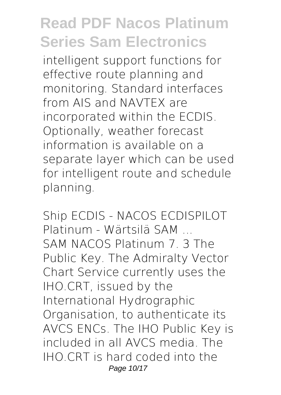intelligent support functions for effective route planning and monitoring. Standard interfaces from AIS and NAVTEX are incorporated within the ECDIS. Optionally, weather forecast information is available on a separate layer which can be used for intelligent route and schedule planning.

**Ship ECDIS - NACOS ECDISPILOT Platinum - Wärtsilä SAM ...** SAM NACOS Platinum 7. 3 The Public Key. The Admiralty Vector Chart Service currently uses the IHO.CRT, issued by the International Hydrographic Organisation, to authenticate its AVCS ENCs. The IHO Public Key is included in all AVCS media. The IHO.CRT is hard coded into the Page 10/17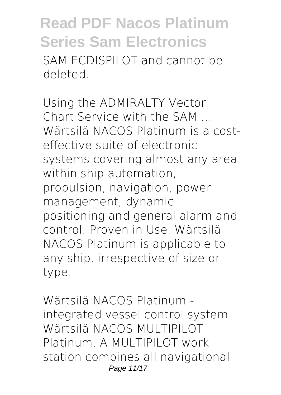SAM ECDISPILOT and cannot be deleted.

**Using the ADMIRALTY Vector Chart Service with the SAM ...** Wärtsilä NACOS Platinum is a costeffective suite of electronic systems covering almost any area within ship automation, propulsion, navigation, power management, dynamic positioning and general alarm and control. Proven in Use. Wärtsilä NACOS Platinum is applicable to any ship, irrespective of size or type.

**Wärtsilä NACOS Platinum integrated vessel control system** Wärtsilä NACOS MULTIPILOT Platinum. A MULTIPILOT work station combines all navigational Page 11/17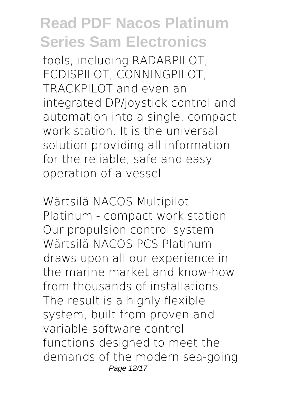tools, including RADARPILOT, ECDISPILOT, CONNINGPILOT, TRACKPILOT and even an integrated DP/joystick control and automation into a single, compact work station. It is the universal solution providing all information for the reliable, safe and easy operation of a vessel.

**Wärtsilä NACOS Multipilot Platinum - compact work station** Our propulsion control system Wärtsilä NACOS PCS Platinum draws upon all our experience in the marine market and know-how from thousands of installations. The result is a highly flexible system, built from proven and variable software control functions designed to meet the demands of the modern sea-going Page 12/17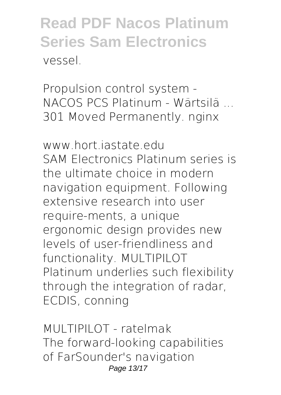**Propulsion control system - NACOS PCS Platinum - Wärtsilä ...** 301 Moved Permanently. nginx

**www.hort.iastate.edu** SAM Electronics Platinum series is the ultimate choice in modern navigation equipment. Following extensive research into user require-ments, a unique ergonomic design provides new levels of user-friendliness and functionality. MULTIPILOT Platinum underlies such flexibility through the integration of radar, ECDIS, conning

**MULTIPILOT - ratelmak** The forward-looking capabilities of FarSounder's navigation Page 13/17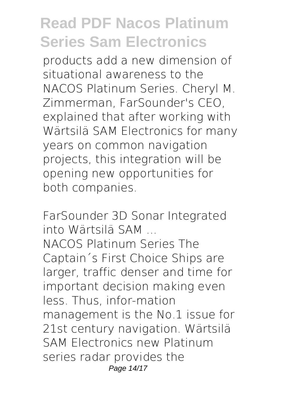products add a new dimension of situational awareness to the NACOS Platinum Series. Cheryl M. Zimmerman, FarSounder's CEO, explained that after working with Wärtsilä SAM Electronics for many years on common navigation projects, this integration will be opening new opportunities for both companies.

**FarSounder 3D Sonar Integrated into Wärtsilä SAM ...** NACOS Platinum Series The Captain´s First Choice Ships are larger, traffic denser and time for important decision making even less. Thus, infor-mation management is the No.1 issue for 21st century navigation. Wärtsilä SAM Electronics new Platinum series radar provides the Page 14/17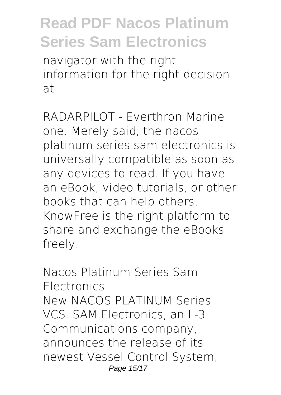navigator with the right information for the right decision at

**RADARPILOT - Everthron Marine** one. Merely said, the nacos platinum series sam electronics is universally compatible as soon as any devices to read. If you have an eBook, video tutorials, or other books that can help others, KnowFree is the right platform to share and exchange the eBooks freely.

**Nacos Platinum Series Sam Electronics** New NACOS PLATINUM Series VCS. SAM Electronics, an L-3 Communications company, announces the release of its newest Vessel Control System, Page 15/17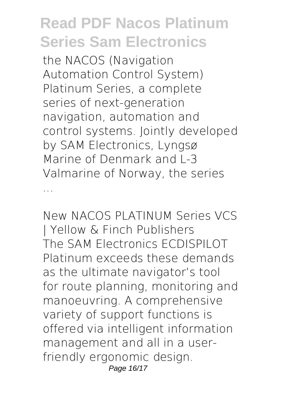the NACOS (Navigation Automation Control System) Platinum Series, a complete series of next-generation navigation, automation and control systems. Jointly developed by SAM Electronics, Lyngsø Marine of Denmark and L-3 Valmarine of Norway, the series ...

**New NACOS PLATINUM Series VCS | Yellow & Finch Publishers** The SAM Electronics ECDISPILOT Platinum exceeds these demands as the ultimate navigator's tool for route planning, monitoring and manoeuvring. A comprehensive variety of support functions is offered via intelligent information management and all in a userfriendly ergonomic design. Page 16/17